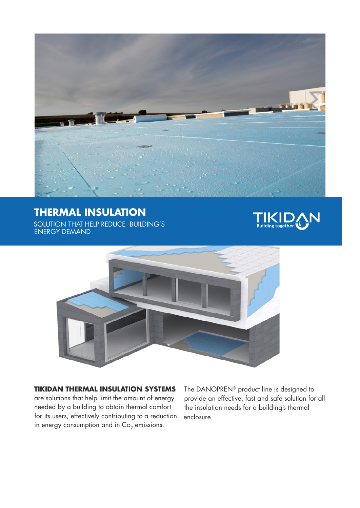

## **THERMAL INSULATION**

SOLUTION THAT HELP REDUCE BUILDING'S ENERGY DEMAND





**TIKIDAN THERMAL INSULATION SYSTEMS** are solutions that help limit the amount of energy needed by a building to obtain thermal comfort for its users, effectively contributing to a reduction in energy consumption and in  $Co<sub>2</sub>$  emissions.

The DANOPREN<sup>®</sup> product line is designed to provide an effective, fast and safe solution for all the insulation needs for a building's thermal enclosure.